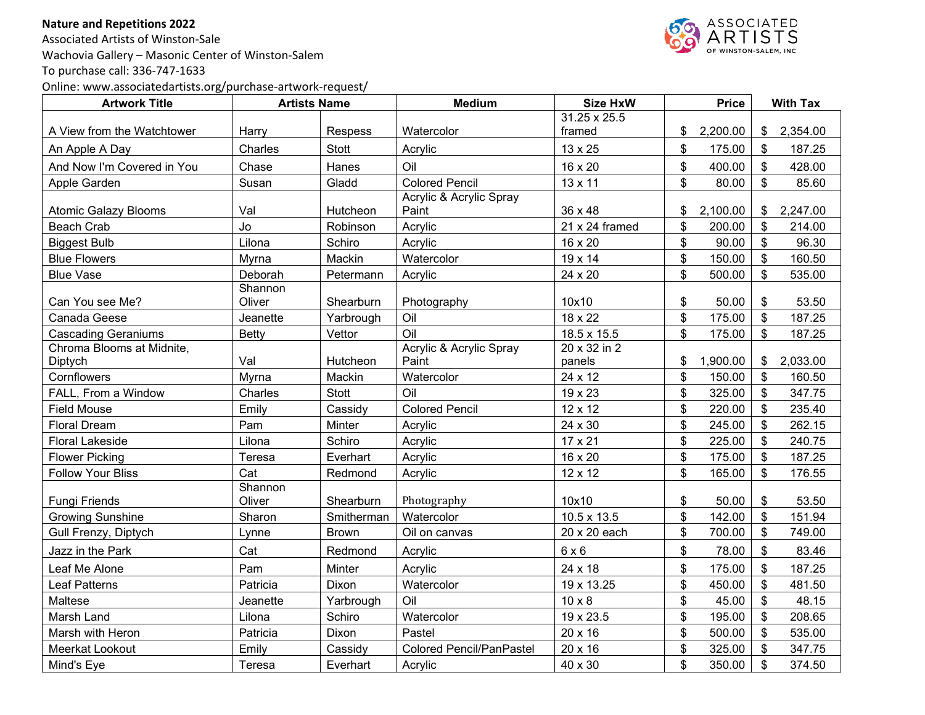## **Nature and Repetitions 2022**

Associated Artists of Winston-Sale Wachovia Gallery – Masonic Center of Winston-Salem To purchase call: 336-747-1633 Online: www.associatedartists.org/purchase-artwork-request/



| <b>Artwork Title</b>        | <b>Artists Name</b> |              | <b>Medium</b>                    | <b>Size HxW</b>     |                | <b>Price</b> | <b>With Tax</b>           |          |
|-----------------------------|---------------------|--------------|----------------------------------|---------------------|----------------|--------------|---------------------------|----------|
|                             |                     |              |                                  | 31.25 x 25.5        |                |              |                           |          |
| A View from the Watchtower  | Harry               | Respess      | Watercolor                       | framed              | \$             | 2,200.00     | \$                        | 2,354.00 |
| An Apple A Day              | Charles             | <b>Stott</b> | Acrylic                          | 13 x 25             | \$             | 175.00       | \$                        | 187.25   |
| And Now I'm Covered in You  | Chase               | Hanes        | Oil                              | 16 x 20             | \$             | 400.00       | \$                        | 428.00   |
| Apple Garden                | Susan               | Gladd        | <b>Colored Pencil</b>            | 13 x 11             | \$             | 80.00        | \$                        | 85.60    |
| <b>Atomic Galazy Blooms</b> | Val                 | Hutcheon     | Acrylic & Acrylic Spray<br>Paint | 36 x 48             | \$             | 2,100.00     | \$                        | 2,247.00 |
| Beach Crab                  | Jo                  | Robinson     | Acrylic                          | $21 x 24$ framed    | \$             | 200.00       | \$                        | 214.00   |
| <b>Biggest Bulb</b>         | Lilona              | Schiro       | Acrylic                          | 16 x 20             | \$             | 90.00        | $\mathcal{S}$             | 96.30    |
| <b>Blue Flowers</b>         | Myrna               | Mackin       | Watercolor                       | 19 x 14             | \$             | 150.00       | $\boldsymbol{\mathsf{S}}$ | 160.50   |
| <b>Blue Vase</b>            | Deborah             | Petermann    | Acrylic                          | 24 x 20             | $\mathfrak{S}$ | 500.00       | \$                        | 535.00   |
| Can You see Me?             | Shannon<br>Oliver   | Shearburn    | Photography                      | 10x10               | \$             | 50.00        | $\boldsymbol{\mathsf{s}}$ | 53.50    |
| Canada Geese                | Jeanette            | Yarbrough    | Oil                              | 18 x 22             | \$             | 175.00       | $\boldsymbol{\mathsf{S}}$ | 187.25   |
| <b>Cascading Geraniums</b>  | <b>Betty</b>        | Vettor       | Oil                              | 18.5 x 15.5         | \$             | 175.00       | \$                        | 187.25   |
| Chroma Blooms at Midnite,   |                     |              | Acrylic & Acrylic Spray          | $20 \times 32$ in 2 |                |              |                           |          |
| Diptych                     | Val                 | Hutcheon     | Paint                            | panels              | \$             | 1,900.00     | \$                        | 2,033.00 |
| Cornflowers                 | Myrna               | Mackin       | Watercolor                       | 24 x 12             | \$             | 150.00       | \$                        | 160.50   |
| FALL, From a Window         | Charles             | <b>Stott</b> | Oil                              | 19 x 23             | \$             | 325.00       | \$                        | 347.75   |
| <b>Field Mouse</b>          | Emily               | Cassidy      | <b>Colored Pencil</b>            | 12 x 12             | \$             | 220.00       | \$                        | 235.40   |
| <b>Floral Dream</b>         | Pam                 | Minter       | Acrylic                          | 24 x 30             | \$             | 245.00       | \$                        | 262.15   |
| <b>Floral Lakeside</b>      | Lilona              | Schiro       | Acrylic                          | 17 x 21             | \$             | 225.00       | \$                        | 240.75   |
| <b>Flower Picking</b>       | Teresa              | Everhart     | Acrylic                          | 16 x 20             | \$             | 175.00       | $\boldsymbol{\mathsf{S}}$ | 187.25   |
| <b>Follow Your Bliss</b>    | Cat                 | Redmond      | Acrylic                          | 12 x 12             | \$             | 165.00       | \$                        | 176.55   |
| <b>Fungi Friends</b>        | Shannon<br>Oliver   | Shearburn    | Photography                      | 10x10               | \$             | 50.00        | \$                        | 53.50    |
| <b>Growing Sunshine</b>     | Sharon              | Smitherman   | Watercolor                       | 10.5 x 13.5         | \$             | 142.00       | \$                        | 151.94   |
| Gull Frenzy, Diptych        | Lynne               | <b>Brown</b> | Oil on canvas                    | 20 x 20 each        | \$             | 700.00       | \$                        | 749.00   |
| Jazz in the Park            | Cat                 | Redmond      | Acrylic                          | $6 \times 6$        | \$             | 78.00        | \$                        | 83.46    |
| Leaf Me Alone               | Pam                 | Minter       | Acrylic                          | 24 x 18             | \$             | 175.00       | \$                        | 187.25   |
| <b>Leaf Patterns</b>        | Patricia            | Dixon        | Watercolor                       | 19 x 13.25          | \$             | 450.00       | \$                        | 481.50   |
| Maltese                     | Jeanette            | Yarbrough    | Oil                              | $10 \times 8$       | \$             | 45.00        | \$                        | 48.15    |
| Marsh Land                  | Lilona              | Schiro       | Watercolor                       | 19 x 23.5           | \$             | 195.00       | \$                        | 208.65   |
| Marsh with Heron            | Patricia            | Dixon        | Pastel                           | 20 x 16             | \$             | 500.00       | \$                        | 535.00   |
| Meerkat Lookout             | Emily               | Cassidy      | <b>Colored Pencil/PanPastel</b>  | 20 x 16             | \$             | 325.00       | \$                        | 347.75   |
| Mind's Eye                  | Teresa              | Everhart     | Acrylic                          | 40 x 30             | \$             | 350.00       | \$                        | 374.50   |